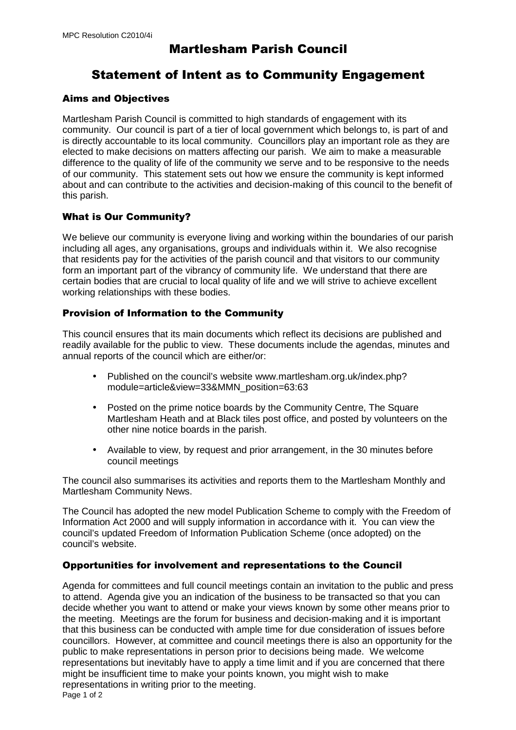# Martlesham Parish Council

## Statement of Intent as to Community Engagement

## Aims and Objectives

Martlesham Parish Council is committed to high standards of engagement with its community. Our council is part of a tier of local government which belongs to, is part of and is directly accountable to its local community. Councillors play an important role as they are elected to make decisions on matters affecting our parish. We aim to make a measurable difference to the quality of life of the community we serve and to be responsive to the needs of our community. This statement sets out how we ensure the community is kept informed about and can contribute to the activities and decision-making of this council to the benefit of this parish.

## What is Our Community?

We believe our community is everyone living and working within the boundaries of our parish including all ages, any organisations, groups and individuals within it. We also recognise that residents pay for the activities of the parish council and that visitors to our community form an important part of the vibrancy of community life. We understand that there are certain bodies that are crucial to local quality of life and we will strive to achieve excellent working relationships with these bodies.

## Provision of Information to the Community

This council ensures that its main documents which reflect its decisions are published and readily available for the public to view. These documents include the agendas, minutes and annual reports of the council which are either/or:

- Published on the council's website www.martlesham.org.uk/index.php? module=article&view=33&MMN\_position=63:63
- Posted on the prime notice boards by the Community Centre, The Square Martlesham Heath and at Black tiles post office, and posted by volunteers on the other nine notice boards in the parish.
- Available to view, by request and prior arrangement, in the 30 minutes before council meetings

The council also summarises its activities and reports them to the Martlesham Monthly and Martlesham Community News.

The Council has adopted the new model Publication Scheme to comply with the Freedom of Information Act 2000 and will supply information in accordance with it. You can view the council's updated Freedom of Information Publication Scheme (once adopted) on the council's website.

#### Opportunities for involvement and representations to the Council

Agenda for committees and full council meetings contain an invitation to the public and press to attend. Agenda give you an indication of the business to be transacted so that you can decide whether you want to attend or make your views known by some other means prior to the meeting. Meetings are the forum for business and decision-making and it is important that this business can be conducted with ample time for due consideration of issues before councillors. However, at committee and council meetings there is also an opportunity for the public to make representations in person prior to decisions being made. We welcome representations but inevitably have to apply a time limit and if you are concerned that there might be insufficient time to make your points known, you might wish to make representations in writing prior to the meeting. Page 1 of 2